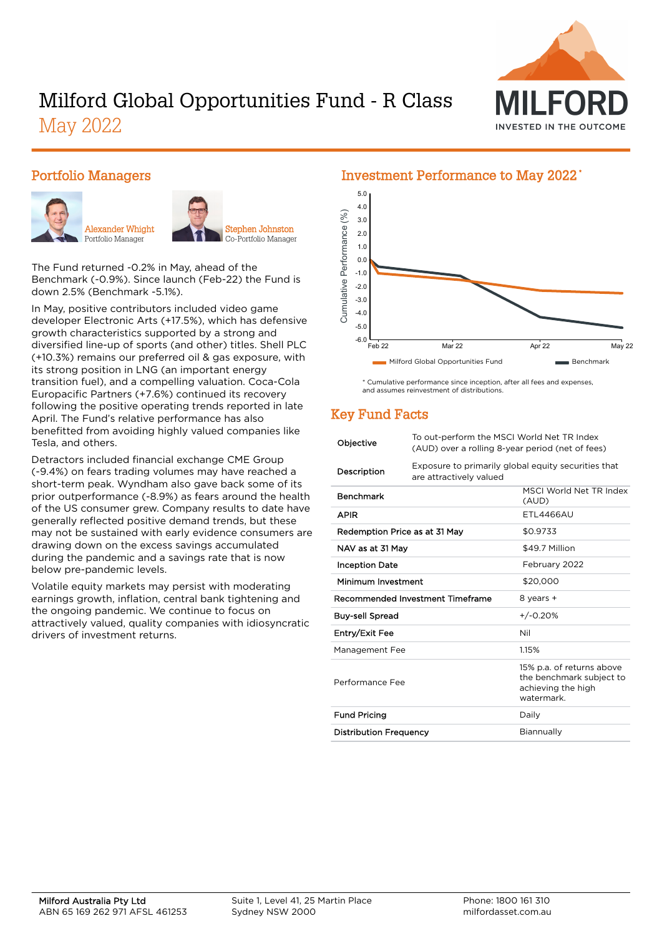

# Milford Global Opportunities Fund - R Class May 2022

#### Portfolio Managers





The Fund returned -0.2% in May, ahead of the Benchmark (-0.9%). Since launch (Feb-22) the Fund is down 2.5% (Benchmark -5.1%).

In May, positive contributors included video game developer Electronic Arts (+17.5%), which has defensive growth characteristics supported by a strong and diversified line-up of sports (and other) titles. Shell PLC (+10.3%) remains our preferred oil & gas exposure, with its strong position in LNG (an important energy transition fuel), and a compelling valuation. Coca-Cola Europacific Partners (+7.6%) continued its recovery following the positive operating trends reported in late April. The Fund's relative performance has also benefitted from avoiding highly valued companies like Tesla, and others.

Detractors included financial exchange CME Group (-9.4%) on fears trading volumes may have reached a short-term peak. Wyndham also gave back some of its prior outperformance (-8.9%) as fears around the health of the US consumer grew. Company results to date have generally reflected positive demand trends, but these may not be sustained with early evidence consumers are drawing down on the excess savings accumulated during the pandemic and a savings rate that is now below pre-pandemic levels.

Volatile equity markets may persist with moderating earnings growth, inflation, central bank tightening and the ongoing pandemic. We continue to focus on attractively valued, quality companies with idiosyncratic drivers of investment returns.

#### Investment Performance to May 2022 \* 5.0 4.0  $(%)$ Cumulative Performance (%) 3.0 Cumulative Performance 2.0 1.0 0.0 -1.0 -2.0 -3.0 -4.0 -5.0 -6.0 Feb 22 Mar 22 Apr 22 May 22 Milford Global Opportunities Fund Benchmark

\* Cumulative performance since inception, after all fees and expenses, and assumes reinvestment of distributions.

## Key Fund Facts

| Objective                        | To out-perform the MSCI World Net TR Index<br>(AUD) over a rolling 8-year period (net of fees) |                                                                                           |  |  |
|----------------------------------|------------------------------------------------------------------------------------------------|-------------------------------------------------------------------------------------------|--|--|
| Description                      | Exposure to primarily global equity securities that<br>are attractively valued                 |                                                                                           |  |  |
| <b>Benchmark</b>                 |                                                                                                | MSCI World Net TR Index<br>(AUD)                                                          |  |  |
| <b>APIR</b>                      |                                                                                                | <b>FTI 4466AU</b>                                                                         |  |  |
| Redemption Price as at 31 May    |                                                                                                | \$0.9733                                                                                  |  |  |
| NAV as at 31 May                 |                                                                                                | \$49.7 Million                                                                            |  |  |
| <b>Inception Date</b>            |                                                                                                | February 2022                                                                             |  |  |
| Minimum Investment               |                                                                                                | \$20,000                                                                                  |  |  |
| Recommended Investment Timeframe |                                                                                                | 8 years +                                                                                 |  |  |
| <b>Buy-sell Spread</b>           |                                                                                                | $+/-0.20%$                                                                                |  |  |
| Entry/Exit Fee                   |                                                                                                | Nil                                                                                       |  |  |
| Management Fee                   |                                                                                                | 1.15%                                                                                     |  |  |
| Performance Fee                  |                                                                                                | 15% p.a. of returns above<br>the benchmark subject to<br>achieving the high<br>watermark. |  |  |
| <b>Fund Pricing</b>              |                                                                                                | Daily                                                                                     |  |  |
| <b>Distribution Frequency</b>    |                                                                                                | Biannually                                                                                |  |  |
|                                  |                                                                                                |                                                                                           |  |  |